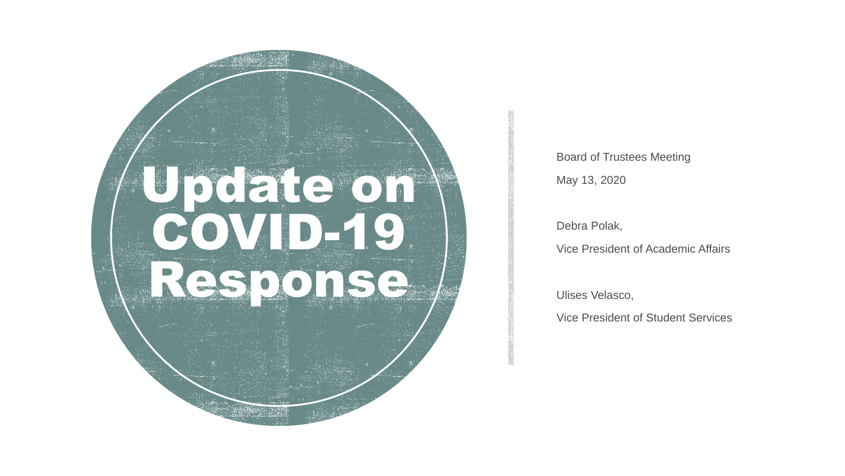

Board of Trustees Meeting

May 13, 2020

Debra Polak,

Vice President of Academic Affairs

Ulises Velasco,

Vice President of Student Services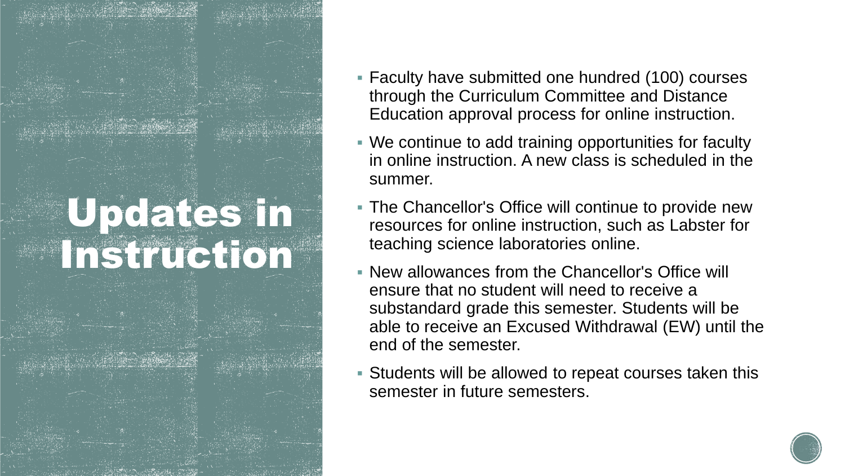# Updates in Instruction

- Faculty have submitted one hundred (100) courses through the Curriculum Committee and Distance Education approval process for online instruction.
- We continue to add training opportunities for faculty in online instruction. A new class is scheduled in the summer.
- The Chancellor's Office will continue to provide new resources for online instruction, such as Labster for teaching science laboratories online.
- New allowances from the Chancellor's Office will ensure that no student will need to receive a substandard grade this semester. Students will be able to receive an Excused Withdrawal (EW) until the end of the semester.
- Students will be allowed to repeat courses taken this semester in future semesters.

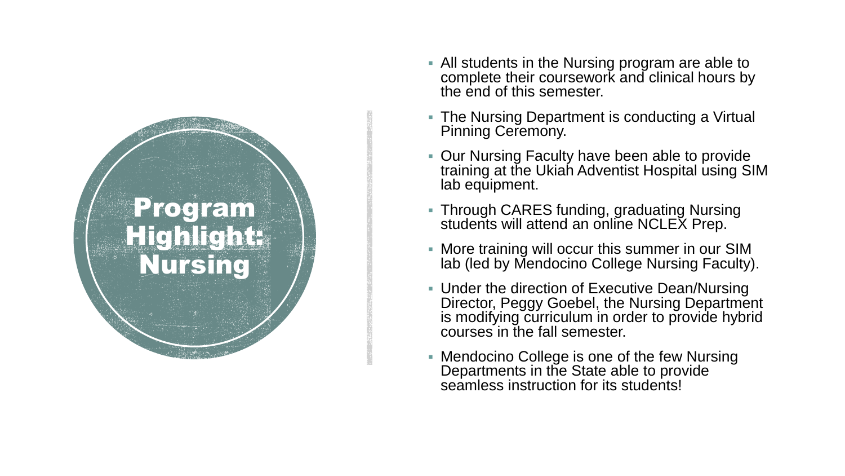

- All students in the Nursing program are able to complete their coursework and clinical hours by the end of this semester.
- The Nursing Department is conducting a Virtual Pinning Ceremony.
- Our Nursing Faculty have been able to provide training at the Ukiah Adventist Hospital using SIM lab equipment.
- Through CARES funding, graduating Nursing students will attend an online NCLEX Prep.
- More training will occur this summer in our SIM lab (led by Mendocino College Nursing Faculty).
- **Under the direction of Executive Dean/Nursing** Director, Peggy Goebel, the Nursing Department is modifying curriculum in order to provide hybrid courses in the fall semester.
- Mendocino College is one of the few Nursing Departments in the State able to provide seamless instruction for its students!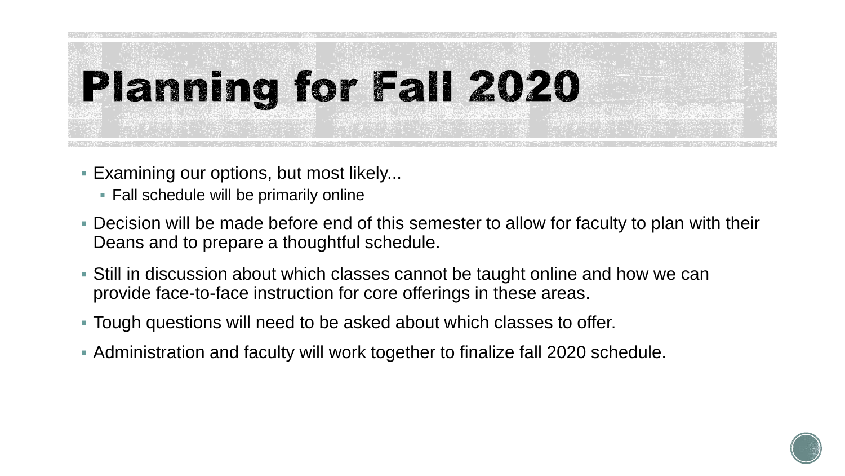

- Examining our options, but most likely...
	- Fall schedule will be primarily online
- Decision will be made before end of this semester to allow for faculty to plan with their Deans and to prepare a thoughtful schedule.
- Still in discussion about which classes cannot be taught online and how we can provide face-to-face instruction for core offerings in these areas.
- Tough questions will need to be asked about which classes to offer.
- Administration and faculty will work together to finalize fall 2020 schedule.

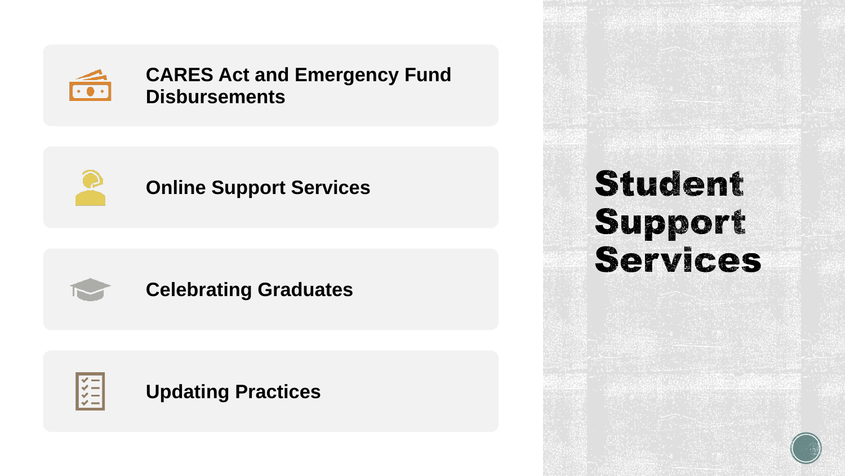

### **CARES Act and Emergency Fund Disbursements**



### **Online Support Services**



### **Celebrating Graduates**



### **Updating Practices**

# **Student Support<br>Services**

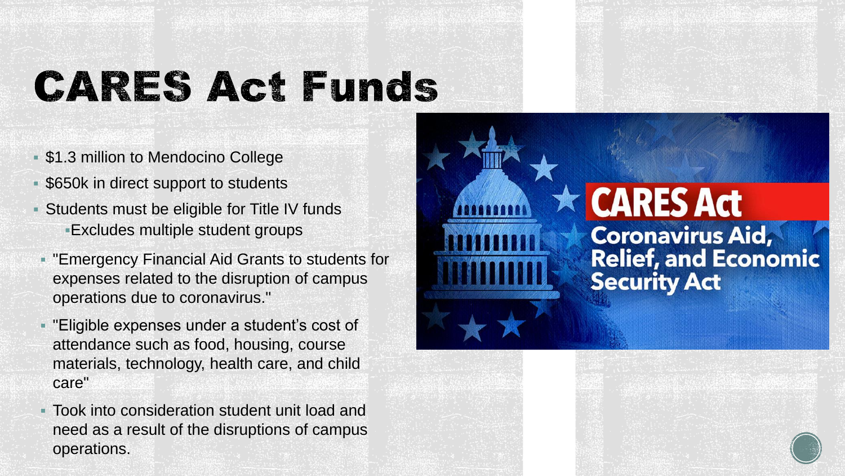# **CARES Act Funds**

- \$1.3 million to Mendocino College
- **\$650k in direct support to students**
- Students must be eligible for Title IV funds Excludes multiple student groups
- "Emergency Financial Aid Grants to students for expenses related to the disruption of campus operations due to coronavirus."
- "Eligible expenses under a student's cost of attendance such as food, housing, course materials, technology, health care, and child care"
- Took into consideration student unit load and need as a result of the disruptions of campus operations.

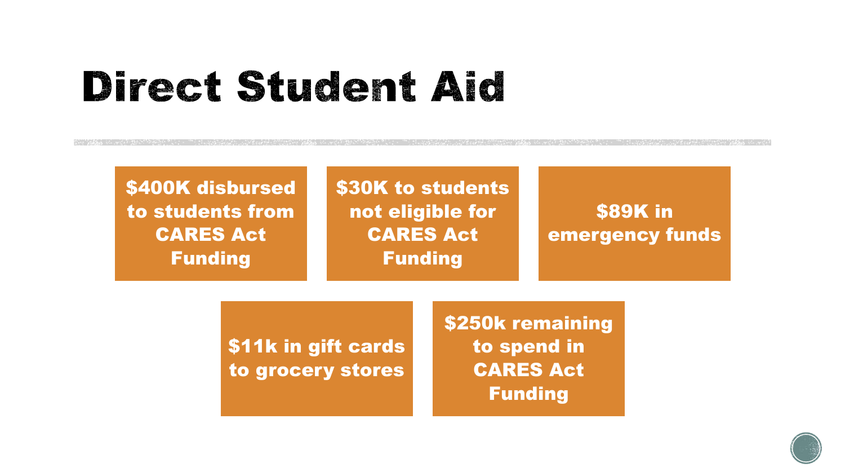# Direct Student Aid

\$400K disbursed to students from CARES Act Funding

\$30K to students not eligible for CARES Act Funding

\$89K in emergency funds

\$11k in gift cards to grocery stores \$250k remaining to spend in CARES Act Funding

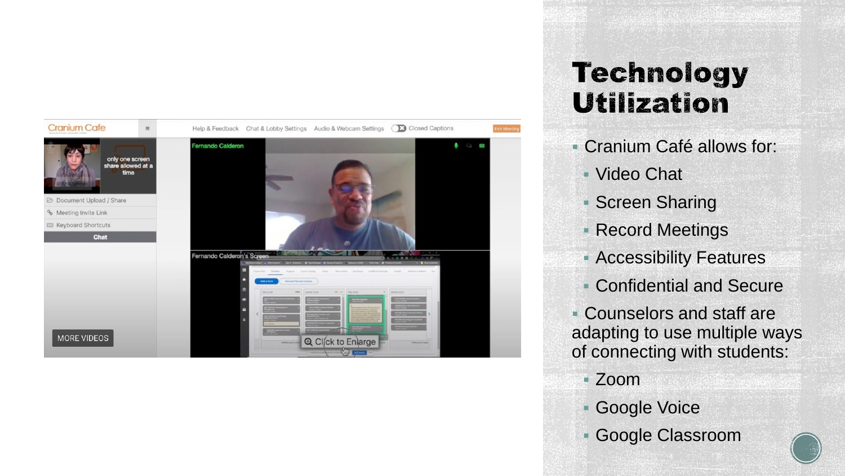

## **Technology Utilization**

- Cranium Café allows for:
	- Video Chat
	- Screen Sharing
	- Record Meetings
	- **Accessibility Features**
	- Confidential and Secure

 Counselors and staff are adapting to use multiple ways of connecting with students:

- Zoom
- Google Voice
- Google Classroom

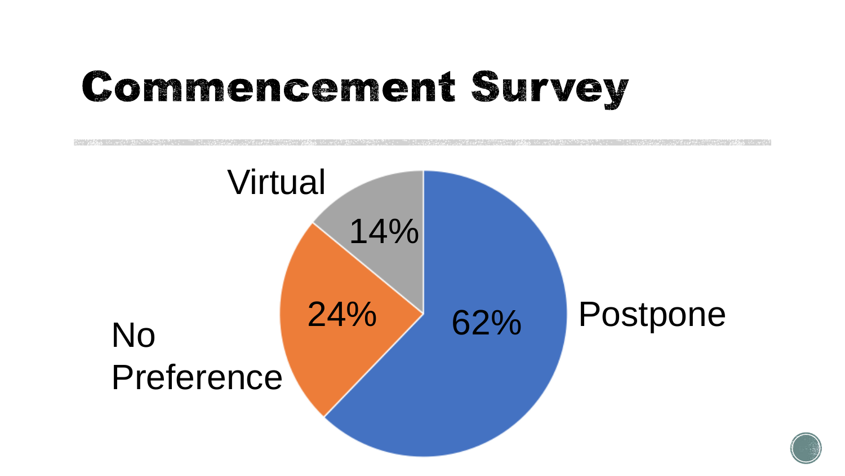# **Commencement Survey**



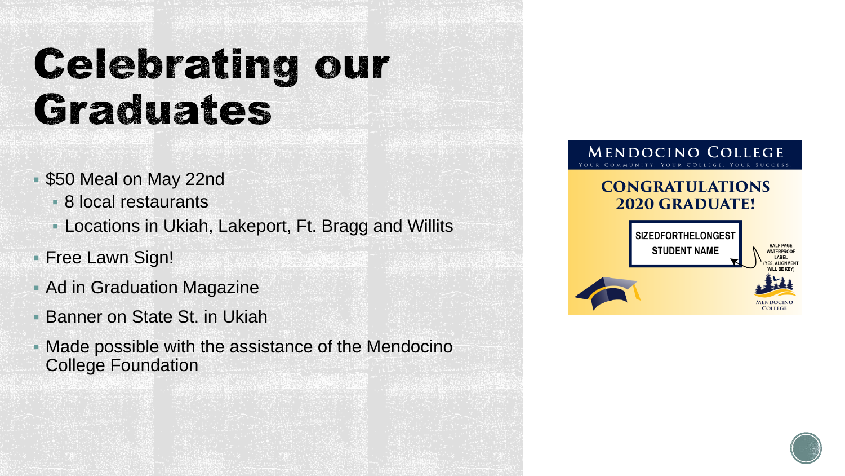# **Celebrating our** Graduates

- \$50 Meal on May 22nd
	- 8 local restaurants
	- Locations in Ukiah, Lakeport, Ft. Bragg and Willits
- Free Lawn Sign!
- **Ad in Graduation Magazine**
- Banner on State St. in Ukiah
- Made possible with the assistance of the Mendocino College Foundation

#### **MENDOCINO COLLEGE** OMMUNITY, YOUR COLLEGE, YOUR SUCCESS

#### **CONGRATULATIONS 2020 GRADUATE!**



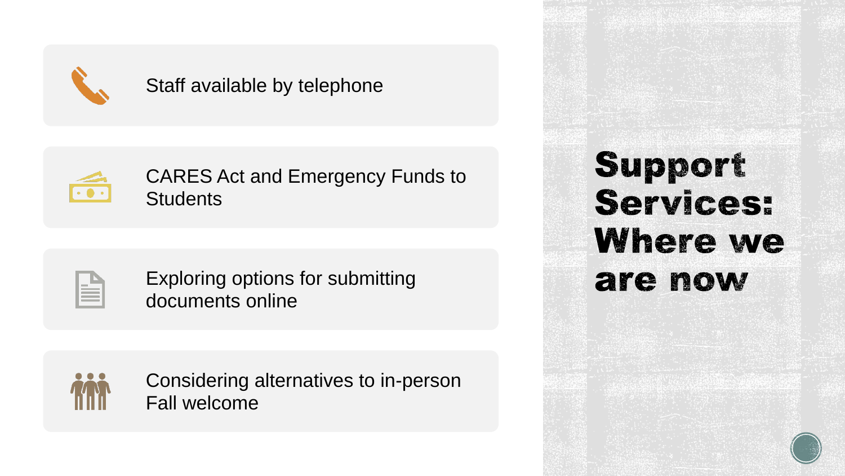

### Staff available by telephone



CARES Act and Emergency Funds to **Students** 

Exploring options for submitting documents online



Considering alternatives to in-person Fall welcome

Support **Services:** Where we are now